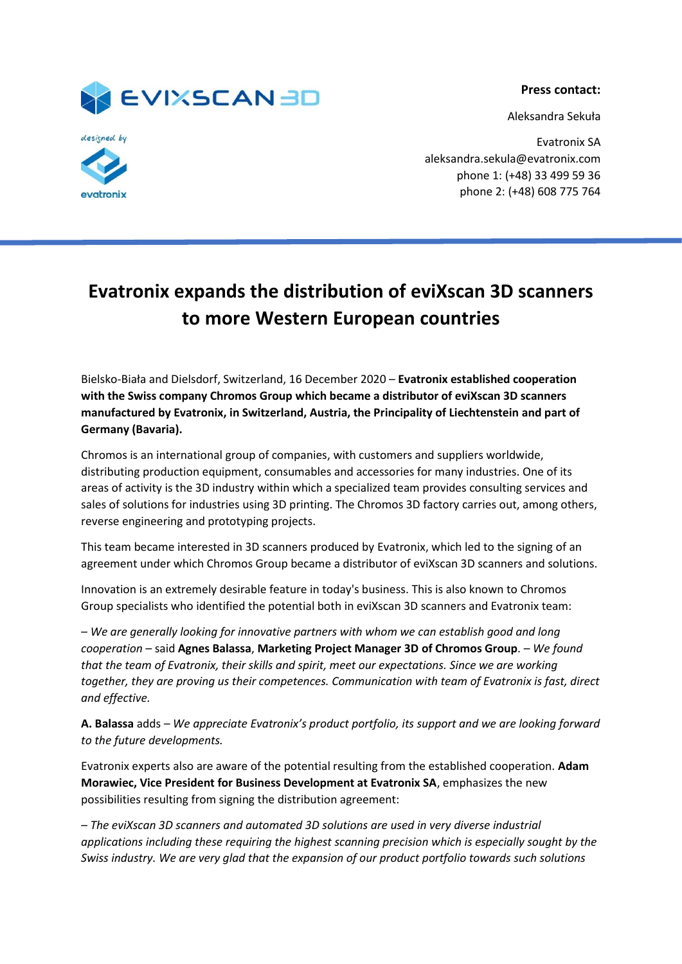

Aleksandra Sekuła





Evatronix SA aleksandra.sekula@evatronix.com phone 1: (+48) 33 499 59 36 phone 2: (+48) 608 775 764

## **Evatronix expands the distribution of eviXscan 3D scanners to more Western European countries**

Bielsko-Biała and Dielsdorf, Switzerland, 16 December 2020 – **Evatronix established cooperation with the Swiss company Chromos Group which became a distributor of eviXscan 3D scanners manufactured by Evatronix, in Switzerland, Austria, the Principality of Liechtenstein and part of Germany (Bavaria).**

Chromos is an international group of companies, with customers and suppliers worldwide, distributing production equipment, consumables and accessories for many industries. One of its areas of activity is the 3D industry within which a specialized team provides consulting services and sales of solutions for industries using 3D printing. The Chromos 3D factory carries out, among others, reverse engineering and prototyping projects.

This team became interested in 3D scanners produced by Evatronix, which led to the signing of an agreement under which Chromos Group became a distributor of eviXscan 3D scanners and solutions.

Innovation is an extremely desirable feature in today's business. This is also known to Chromos Group specialists who identified the potential both in eviXscan 3D scanners and Evatronix team:

*– We are generally looking for innovative partners with whom we can establish good and long cooperation –* said **Agnes Balassa**, **Marketing Project Manager 3D of Chromos Group**. *– We found that the team of Evatronix, their skills and spirit, meet our expectations. Since we are working together, they are proving us their competences. Communication with team of Evatronix is fast, direct and effective.* 

**A. Balassa** adds *– We appreciate Evatronix's product portfolio, its support and we are looking forward to the future developments.* 

Evatronix experts also are aware of the potential resulting from the established cooperation. **Adam Morawiec, Vice President for Business Development at Evatronix SA**, emphasizes the new possibilities resulting from signing the distribution agreement:

*– The eviXscan 3D scanners and automated 3D solutions are used in very diverse industrial applications including these requiring the highest scanning precision which is especially sought by the Swiss industry. We are very glad that the expansion of our product portfolio towards such solutions*